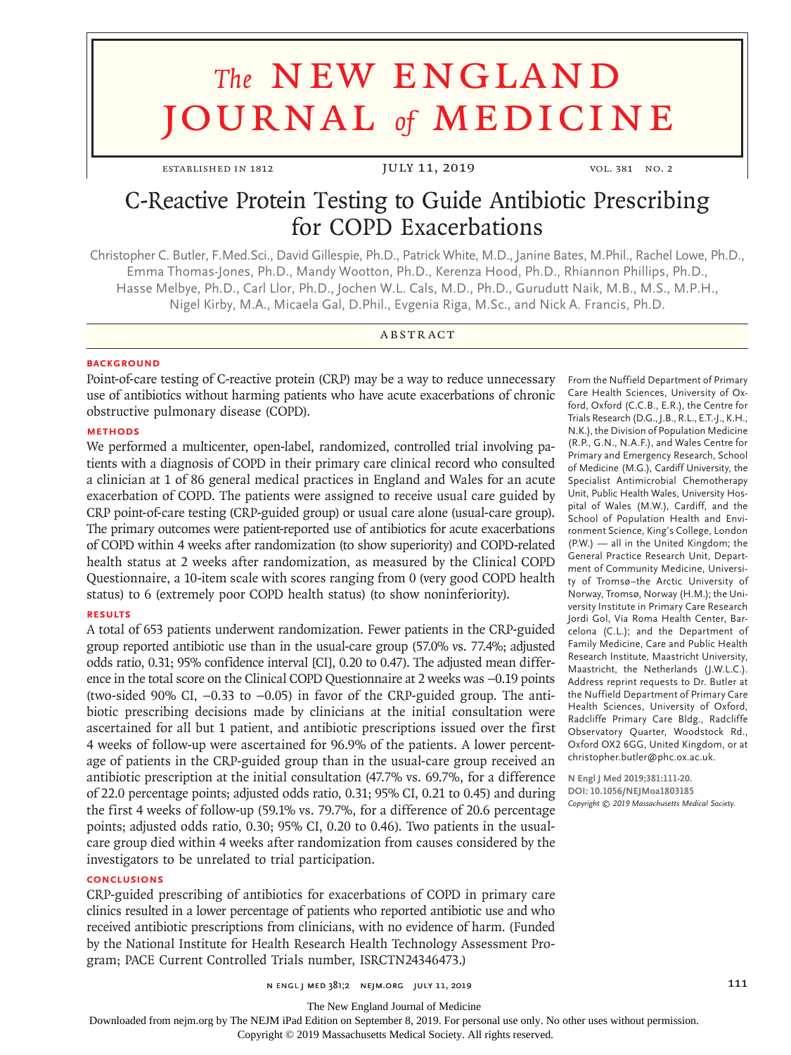# **The NEW ENGLAND** journal *of* medicine

established in 1812 **JULY 11, 2019** vol. 381 no. 2

# C-Reactive Protein Testing to Guide Antibiotic Prescribing for COPD Exacerbations

Christopher C. Butler, F.Med.Sci., David Gillespie, Ph.D., Patrick White, M.D., Janine Bates, M.Phil., Rachel Lowe, Ph.D., Emma Thomas-Jones, Ph.D., Mandy Wootton, Ph.D., Kerenza Hood, Ph.D., Rhiannon Phillips, Ph.D., Hasse Melbye, Ph.D., Carl Llor, Ph.D., Jochen W.L. Cals, M.D., Ph.D., Gurudutt Naik, M.B., M.S., M.P.H., Nigel Kirby, M.A., Micaela Gal, D.Phil., Evgenia Riga, M.Sc., and Nick A. Francis, Ph.D.

# ABSTRACT

#### **BACKGROUND**

Point-of-care testing of C-reactive protein (CRP) may be a way to reduce unnecessary use of antibiotics without harming patients who have acute exacerbations of chronic obstructive pulmonary disease (COPD).

#### **METHODS**

We performed a multicenter, open-label, randomized, controlled trial involving patients with a diagnosis of COPD in their primary care clinical record who consulted a clinician at 1 of 86 general medical practices in England and Wales for an acute exacerbation of COPD. The patients were assigned to receive usual care guided by CRP point-of-care testing (CRP-guided group) or usual care alone (usual-care group). The primary outcomes were patient-reported use of antibiotics for acute exacerbations of COPD within 4 weeks after randomization (to show superiority) and COPD-related health status at 2 weeks after randomization, as measured by the Clinical COPD Questionnaire, a 10-item scale with scores ranging from 0 (very good COPD health status) to 6 (extremely poor COPD health status) (to show noninferiority).

# **RESULTS**

A total of 653 patients underwent randomization. Fewer patients in the CRP-guided group reported antibiotic use than in the usual-care group (57.0% vs. 77.4%; adjusted odds ratio, 0.31; 95% confidence interval [CI], 0.20 to 0.47). The adjusted mean difference in the total score on the Clinical COPD Questionnaire at 2 weeks was −0.19 points (two-sided 90% CI, −0.33 to −0.05) in favor of the CRP-guided group. The antibiotic prescribing decisions made by clinicians at the initial consultation were ascertained for all but 1 patient, and antibiotic prescriptions issued over the first 4 weeks of follow-up were ascertained for 96.9% of the patients. A lower percentage of patients in the CRP-guided group than in the usual-care group received an antibiotic prescription at the initial consultation (47.7% vs. 69.7%, for a difference of 22.0 percentage points; adjusted odds ratio, 0.31; 95% CI, 0.21 to 0.45) and during the first 4 weeks of follow-up (59.1% vs. 79.7%, for a difference of 20.6 percentage points; adjusted odds ratio, 0.30; 95% CI, 0.20 to 0.46). Two patients in the usualcare group died within 4 weeks after randomization from causes considered by the investigators to be unrelated to trial participation.

### **CONCLUSIONS**

CRP-guided prescribing of antibiotics for exacerbations of COPD in primary care clinics resulted in a lower percentage of patients who reported antibiotic use and who received antibiotic prescriptions from clinicians, with no evidence of harm. (Funded by the National Institute for Health Research Health Technology Assessment Program; PACE Current Controlled Trials number, ISRCTN24346473.)

From the Nuffield Department of Primary Care Health Sciences, University of Oxford, Oxford (C.C.B., E.R.), the Centre for Trials Research (D.G., J.B., R.L., E.T.-J., K.H., N.K.), the Division of Population Medicine (R.P., G.N., N.A.F.), and Wales Centre for Primary and Emergency Research, School of Medicine (M.G.), Cardiff University, the Specialist Antimicrobial Chemotherapy Unit, Public Health Wales, University Hospital of Wales (M.W.), Cardiff, and the School of Population Health and Environment Science, King's College, London (P.W.) — all in the United Kingdom; the General Practice Research Unit, Department of Community Medicine, University of Tromsø–the Arctic University of Norway, Tromsø, Norway (H.M.); the University Institute in Primary Care Research Jordi Gol, Via Roma Health Center, Barcelona (C.L.); and the Department of Family Medicine, Care and Public Health Research Institute, Maastricht University, Maastricht, the Netherlands (J.W.L.C.). Address reprint requests to Dr. Butler at the Nuffield Department of Primary Care Health Sciences, University of Oxford, Radcliffe Primary Care Bldg., Radcliffe Observatory Quarter, Woodstock Rd., Oxford OX2 6GG, United Kingdom, or at christopher.butler@phc.ox.ac.uk.

**N Engl J Med 2019;381:111-20. DOI: 10.1056/NEJMoa1803185** *Copyright © 2019 Massachusetts Medical Society.*

n ENGL | MED 381;2 NEJM.ORG JULY 11, 2019 111 112

The New England Journal of Medicine

Downloaded from nejm.org by The NEJM iPad Edition on September 8, 2019. For personal use only. No other uses without permission.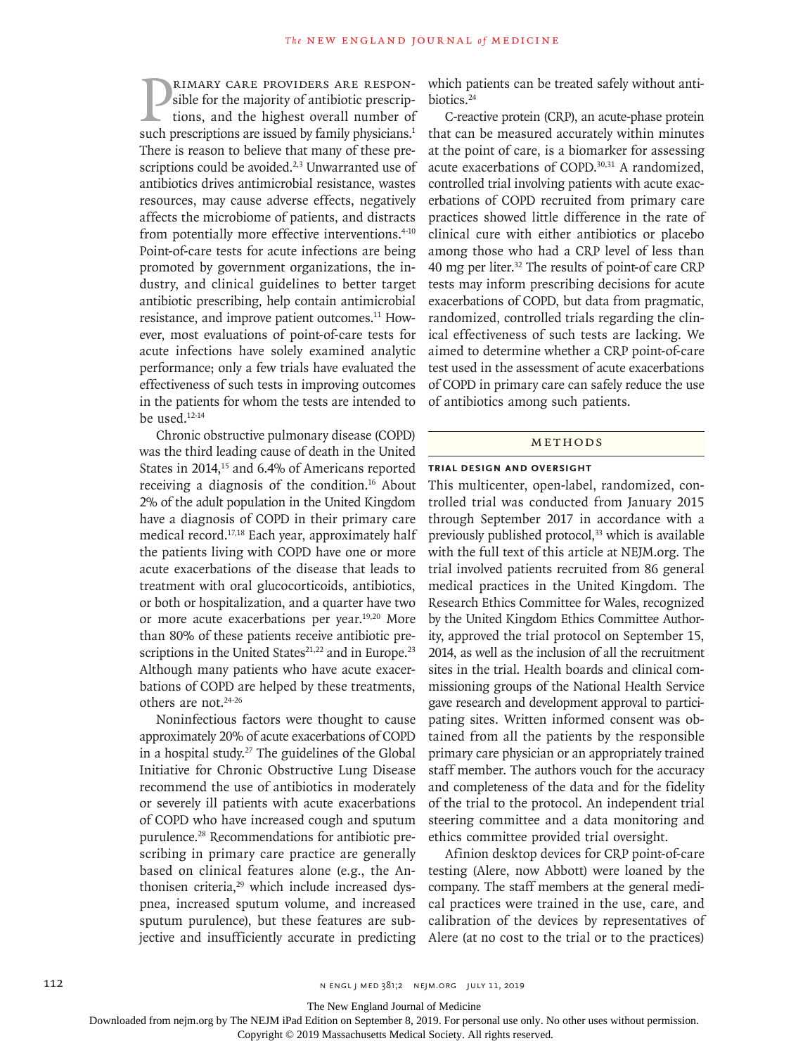**EXECUTE PROVIDERS ARE RESPONSIBLE for the majority of antibiotic prescriptions, and the highest overall number of such prescriptions are issued by family physicians.<sup>1</sup>** rimary care providers are responsible for the majority of antibiotic prescriptions, and the highest overall number of There is reason to believe that many of these prescriptions could be avoided.<sup>2,3</sup> Unwarranted use of antibiotics drives antimicrobial resistance, wastes resources, may cause adverse effects, negatively affects the microbiome of patients, and distracts from potentially more effective interventions.<sup>4-10</sup> Point-of-care tests for acute infections are being promoted by government organizations, the industry, and clinical guidelines to better target antibiotic prescribing, help contain antimicrobial resistance, and improve patient outcomes.<sup>11</sup> However, most evaluations of point-of-care tests for acute infections have solely examined analytic performance; only a few trials have evaluated the effectiveness of such tests in improving outcomes in the patients for whom the tests are intended to be used.12-14

Chronic obstructive pulmonary disease (COPD) was the third leading cause of death in the United States in 2014,<sup>15</sup> and 6.4% of Americans reported receiving a diagnosis of the condition.16 About 2% of the adult population in the United Kingdom have a diagnosis of COPD in their primary care medical record.17,18 Each year, approximately half the patients living with COPD have one or more acute exacerbations of the disease that leads to treatment with oral glucocorticoids, antibiotics, or both or hospitalization, and a quarter have two or more acute exacerbations per year.<sup>19,20</sup> More than 80% of these patients receive antibiotic prescriptions in the United States<sup>21,22</sup> and in Europe.<sup>23</sup> Although many patients who have acute exacerbations of COPD are helped by these treatments, others are not.24-26

Noninfectious factors were thought to cause approximately 20% of acute exacerbations of COPD in a hospital study.<sup>27</sup> The guidelines of the Global Initiative for Chronic Obstructive Lung Disease recommend the use of antibiotics in moderately or severely ill patients with acute exacerbations of COPD who have increased cough and sputum purulence.28 Recommendations for antibiotic prescribing in primary care practice are generally based on clinical features alone (e.g., the Anthonisen criteria,<sup>29</sup> which include increased dyspnea, increased sputum volume, and increased sputum purulence), but these features are subjective and insufficiently accurate in predicting

which patients can be treated safely without antibiotics.<sup>24</sup>

C-reactive protein (CRP), an acute-phase protein that can be measured accurately within minutes at the point of care, is a biomarker for assessing acute exacerbations of COPD.<sup>30,31</sup> A randomized, controlled trial involving patients with acute exacerbations of COPD recruited from primary care practices showed little difference in the rate of clinical cure with either antibiotics or placebo among those who had a CRP level of less than 40 mg per liter.32 The results of point-of care CRP tests may inform prescribing decisions for acute exacerbations of COPD, but data from pragmatic, randomized, controlled trials regarding the clinical effectiveness of such tests are lacking. We aimed to determine whether a CRP point-of-care test used in the assessment of acute exacerbations of COPD in primary care can safely reduce the use of antibiotics among such patients.

#### METHODS

#### **Trial Design and Oversight**

This multicenter, open-label, randomized, controlled trial was conducted from January 2015 through September 2017 in accordance with a previously published protocol,<sup>33</sup> which is available with the full text of this article at NEJM.org. The trial involved patients recruited from 86 general medical practices in the United Kingdom. The Research Ethics Committee for Wales, recognized by the United Kingdom Ethics Committee Authority, approved the trial protocol on September 15, 2014, as well as the inclusion of all the recruitment sites in the trial. Health boards and clinical commissioning groups of the National Health Service gave research and development approval to participating sites. Written informed consent was obtained from all the patients by the responsible primary care physician or an appropriately trained staff member. The authors vouch for the accuracy and completeness of the data and for the fidelity of the trial to the protocol. An independent trial steering committee and a data monitoring and ethics committee provided trial oversight.

Afinion desktop devices for CRP point-of-care testing (Alere, now Abbott) were loaned by the company. The staff members at the general medical practices were trained in the use, care, and calibration of the devices by representatives of Alere (at no cost to the trial or to the practices)

The New England Journal of Medicine

Downloaded from nejm.org by The NEJM iPad Edition on September 8, 2019. For personal use only. No other uses without permission.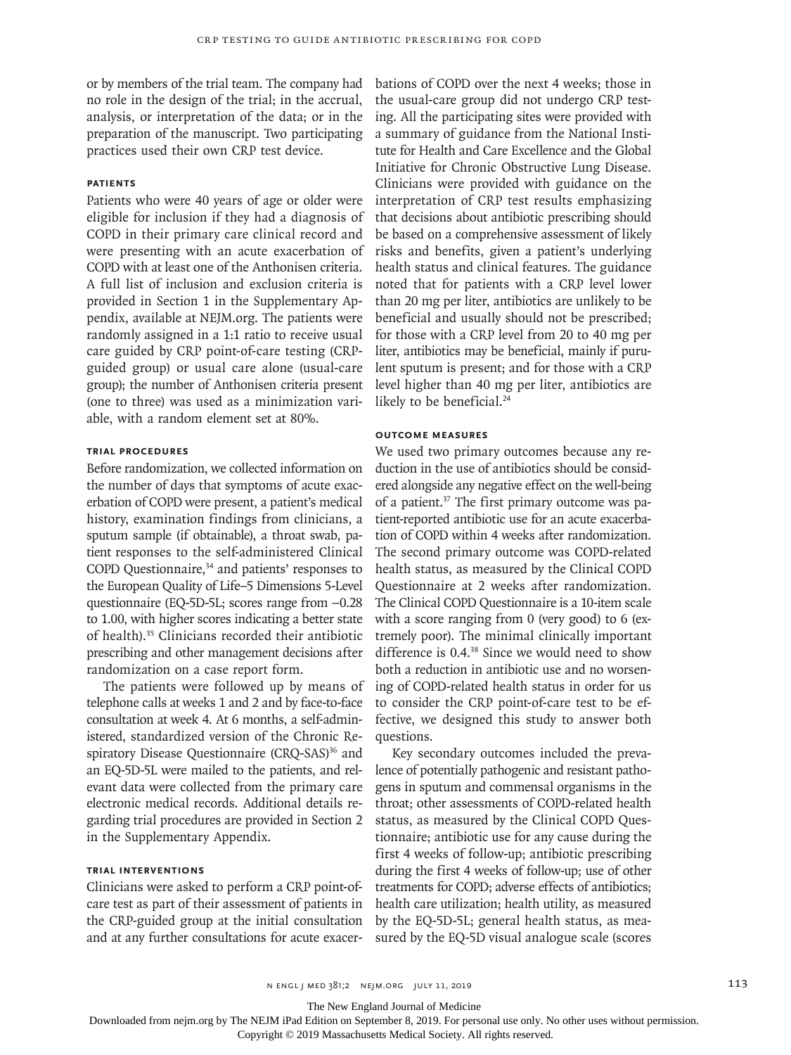or by members of the trial team. The company had no role in the design of the trial; in the accrual, analysis, or interpretation of the data; or in the preparation of the manuscript. Two participating practices used their own CRP test device.

#### **Patients**

Patients who were 40 years of age or older were eligible for inclusion if they had a diagnosis of COPD in their primary care clinical record and were presenting with an acute exacerbation of COPD with at least one of the Anthonisen criteria. A full list of inclusion and exclusion criteria is provided in Section 1 in the Supplementary Appendix, available at NEJM.org. The patients were randomly assigned in a 1:1 ratio to receive usual care guided by CRP point-of-care testing (CRPguided group) or usual care alone (usual-care group); the number of Anthonisen criteria present (one to three) was used as a minimization variable, with a random element set at 80%.

# **Trial Procedures**

Before randomization, we collected information on the number of days that symptoms of acute exacerbation of COPD were present, a patient's medical history, examination findings from clinicians, a sputum sample (if obtainable), a throat swab, patient responses to the self-administered Clinical COPD Questionnaire,<sup>34</sup> and patients' responses to the European Quality of Life–5 Dimensions 5-Level questionnaire (EQ-5D-5L; scores range from −0.28 to 1.00, with higher scores indicating a better state of health).35 Clinicians recorded their antibiotic prescribing and other management decisions after randomization on a case report form.

The patients were followed up by means of telephone calls at weeks 1 and 2 and by face-to-face consultation at week 4. At 6 months, a self-administered, standardized version of the Chronic Respiratory Disease Questionnaire (CRQ-SAS)<sup>36</sup> and an EQ-5D-5L were mailed to the patients, and relevant data were collected from the primary care electronic medical records. Additional details regarding trial procedures are provided in Section 2 in the Supplementary Appendix.

# **Trial Interventions**

Clinicians were asked to perform a CRP point-ofcare test as part of their assessment of patients in the CRP-guided group at the initial consultation and at any further consultations for acute exacerbations of COPD over the next 4 weeks; those in the usual-care group did not undergo CRP testing. All the participating sites were provided with a summary of guidance from the National Institute for Health and Care Excellence and the Global Initiative for Chronic Obstructive Lung Disease. Clinicians were provided with guidance on the interpretation of CRP test results emphasizing that decisions about antibiotic prescribing should be based on a comprehensive assessment of likely risks and benefits, given a patient's underlying health status and clinical features. The guidance noted that for patients with a CRP level lower than 20 mg per liter, antibiotics are unlikely to be beneficial and usually should not be prescribed; for those with a CRP level from 20 to 40 mg per liter, antibiotics may be beneficial, mainly if purulent sputum is present; and for those with a CRP level higher than 40 mg per liter, antibiotics are likely to be beneficial.<sup>24</sup>

# **Outcome Measures**

We used two primary outcomes because any reduction in the use of antibiotics should be considered alongside any negative effect on the well-being of a patient.37 The first primary outcome was patient-reported antibiotic use for an acute exacerbation of COPD within 4 weeks after randomization. The second primary outcome was COPD-related health status, as measured by the Clinical COPD Questionnaire at 2 weeks after randomization. The Clinical COPD Questionnaire is a 10-item scale with a score ranging from 0 (very good) to 6 (extremely poor). The minimal clinically important difference is 0.4.38 Since we would need to show both a reduction in antibiotic use and no worsening of COPD-related health status in order for us to consider the CRP point-of-care test to be effective, we designed this study to answer both questions.

Key secondary outcomes included the prevalence of potentially pathogenic and resistant pathogens in sputum and commensal organisms in the throat; other assessments of COPD-related health status, as measured by the Clinical COPD Questionnaire; antibiotic use for any cause during the first 4 weeks of follow-up; antibiotic prescribing during the first 4 weeks of follow-up; use of other treatments for COPD; adverse effects of antibiotics; health care utilization; health utility, as measured by the EQ-5D-5L; general health status, as measured by the EQ-5D visual analogue scale (scores

N ENGL | MED 381;2 NEJM.ORG JULY 11, 2019 113

The New England Journal of Medicine

Downloaded from nejm.org by The NEJM iPad Edition on September 8, 2019. For personal use only. No other uses without permission.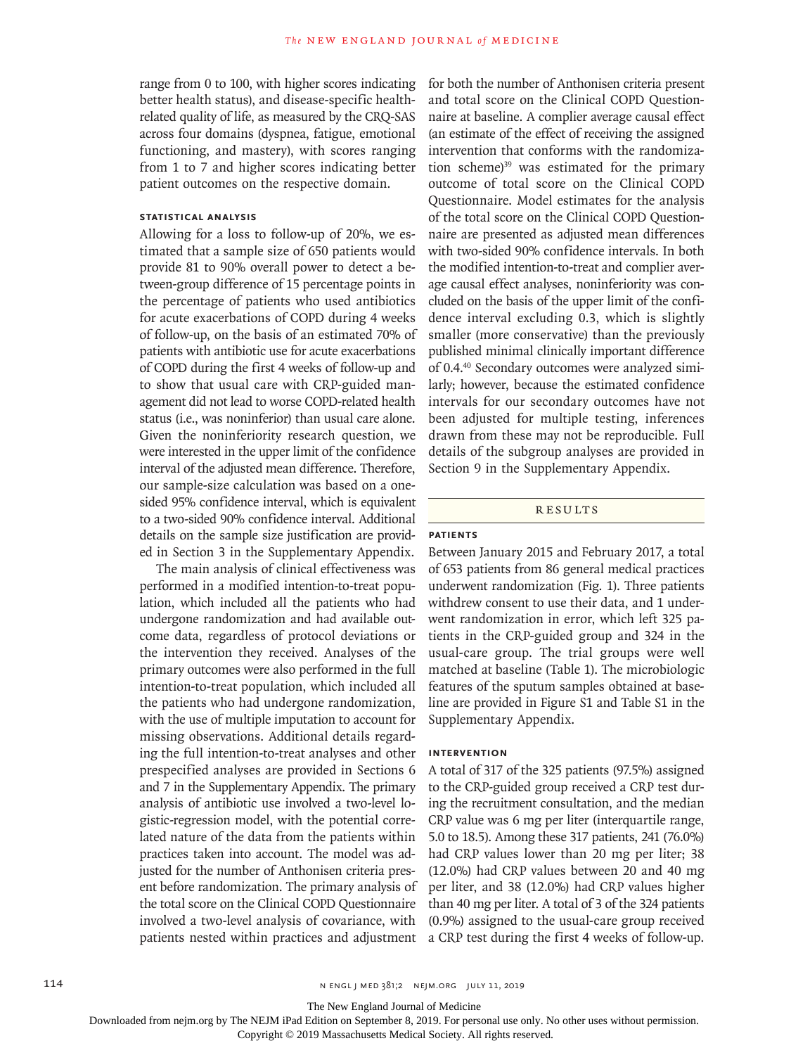range from 0 to 100, with higher scores indicating better health status), and disease-specific healthrelated quality of life, as measured by the CRQ-SAS across four domains (dyspnea, fatigue, emotional functioning, and mastery), with scores ranging from 1 to 7 and higher scores indicating better patient outcomes on the respective domain.

#### **Statistical Analysis**

Allowing for a loss to follow-up of 20%, we estimated that a sample size of 650 patients would provide 81 to 90% overall power to detect a between-group difference of 15 percentage points in the percentage of patients who used antibiotics for acute exacerbations of COPD during 4 weeks of follow-up, on the basis of an estimated 70% of patients with antibiotic use for acute exacerbations of COPD during the first 4 weeks of follow-up and to show that usual care with CRP-guided management did not lead to worse COPD-related health status (i.e., was noninferior) than usual care alone. Given the noninferiority research question, we were interested in the upper limit of the confidence interval of the adjusted mean difference. Therefore, our sample-size calculation was based on a onesided 95% confidence interval, which is equivalent to a two-sided 90% confidence interval. Additional details on the sample size justification are provided in Section 3 in the Supplementary Appendix.

The main analysis of clinical effectiveness was performed in a modified intention-to-treat population, which included all the patients who had undergone randomization and had available outcome data, regardless of protocol deviations or the intervention they received. Analyses of the primary outcomes were also performed in the full intention-to-treat population, which included all the patients who had undergone randomization, with the use of multiple imputation to account for missing observations. Additional details regarding the full intention-to-treat analyses and other prespecified analyses are provided in Sections 6 and 7 in the Supplementary Appendix. The primary analysis of antibiotic use involved a two-level logistic-regression model, with the potential correlated nature of the data from the patients within practices taken into account. The model was adjusted for the number of Anthonisen criteria present before randomization. The primary analysis of the total score on the Clinical COPD Questionnaire involved a two-level analysis of covariance, with patients nested within practices and adjustment

for both the number of Anthonisen criteria present and total score on the Clinical COPD Questionnaire at baseline. A complier average causal effect (an estimate of the effect of receiving the assigned intervention that conforms with the randomization scheme)<sup>39</sup> was estimated for the primary outcome of total score on the Clinical COPD Questionnaire. Model estimates for the analysis of the total score on the Clinical COPD Questionnaire are presented as adjusted mean differences with two-sided 90% confidence intervals. In both the modified intention-to-treat and complier average causal effect analyses, noninferiority was concluded on the basis of the upper limit of the confidence interval excluding 0.3, which is slightly smaller (more conservative) than the previously published minimal clinically important difference of 0.4.40 Secondary outcomes were analyzed similarly; however, because the estimated confidence intervals for our secondary outcomes have not been adjusted for multiple testing, inferences drawn from these may not be reproducible. Full details of the subgroup analyses are provided in Section 9 in the Supplementary Appendix.

#### Results

# **Patients**

Between January 2015 and February 2017, a total of 653 patients from 86 general medical practices underwent randomization (Fig. 1). Three patients withdrew consent to use their data, and 1 underwent randomization in error, which left 325 patients in the CRP-guided group and 324 in the usual-care group. The trial groups were well matched at baseline (Table 1). The microbiologic features of the sputum samples obtained at baseline are provided in Figure S1 and Table S1 in the Supplementary Appendix.

#### **Intervention**

A total of 317 of the 325 patients (97.5%) assigned to the CRP-guided group received a CRP test during the recruitment consultation, and the median CRP value was 6 mg per liter (interquartile range, 5.0 to 18.5). Among these 317 patients, 241 (76.0%) had CRP values lower than 20 mg per liter; 38 (12.0%) had CRP values between 20 and 40 mg per liter, and 38 (12.0%) had CRP values higher than 40 mg per liter. A total of 3 of the 324 patients (0.9%) assigned to the usual-care group received a CRP test during the first 4 weeks of follow-up.

The New England Journal of Medicine

Downloaded from nejm.org by The NEJM iPad Edition on September 8, 2019. For personal use only. No other uses without permission.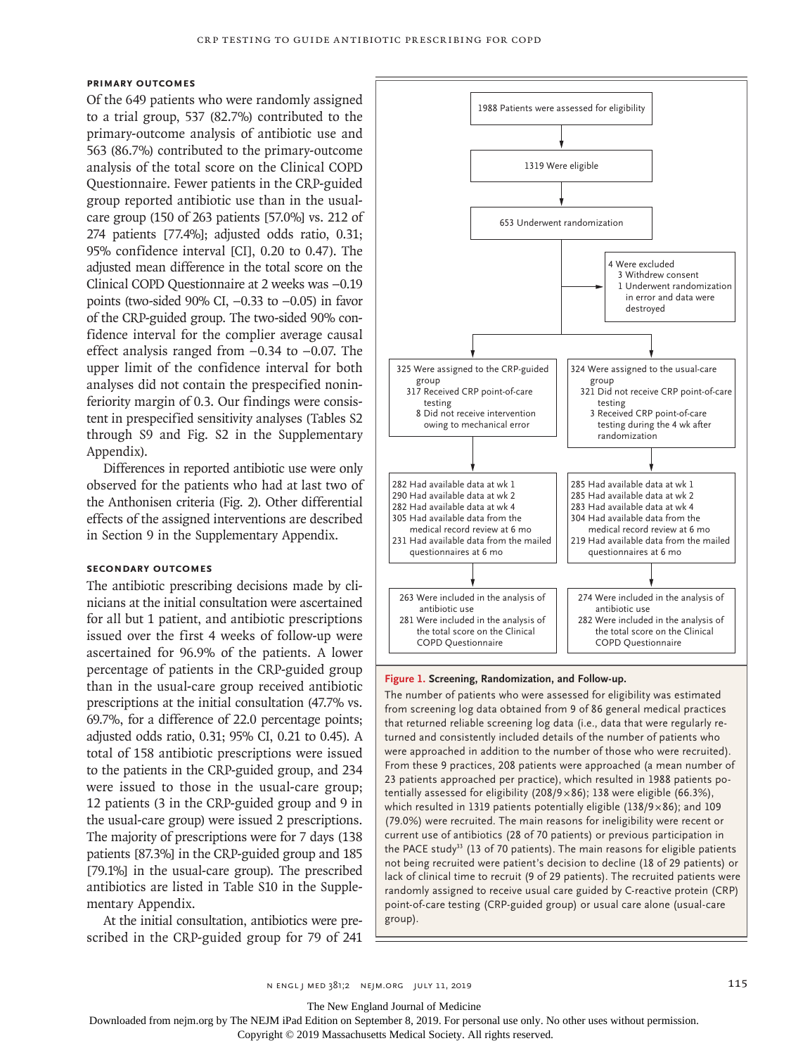#### **Primary Outcomes**

Of the 649 patients who were randomly assigned to a trial group, 537 (82.7%) contributed to the primary-outcome analysis of antibiotic use and 563 (86.7%) contributed to the primary-outcome analysis of the total score on the Clinical COPD Questionnaire. Fewer patients in the CRP-guided group reported antibiotic use than in the usualcare group (150 of 263 patients [57.0%] vs. 212 of 274 patients [77.4%]; adjusted odds ratio, 0.31; 95% confidence interval [CI], 0.20 to 0.47). The adjusted mean difference in the total score on the Clinical COPD Questionnaire at 2 weeks was −0.19 points (two-sided 90% CI, −0.33 to −0.05) in favor of the CRP-guided group. The two-sided 90% confidence interval for the complier average causal effect analysis ranged from −0.34 to −0.07. The upper limit of the confidence interval for both analyses did not contain the prespecified noninferiority margin of 0.3. Our findings were consistent in prespecified sensitivity analyses (Tables S2 through S9 and Fig. S2 in the Supplementary Appendix).

Differences in reported antibiotic use were only observed for the patients who had at last two of the Anthonisen criteria (Fig. 2). Other differential effects of the assigned interventions are described in Section 9 in the Supplementary Appendix.

#### **Secondary Outcomes**

The antibiotic prescribing decisions made by clinicians at the initial consultation were ascertained for all but 1 patient, and antibiotic prescriptions issued over the first 4 weeks of follow-up were ascertained for 96.9% of the patients. A lower percentage of patients in the CRP-guided group than in the usual-care group received antibiotic prescriptions at the initial consultation (47.7% vs. 69.7%, for a difference of 22.0 percentage points; adjusted odds ratio, 0.31; 95% CI, 0.21 to 0.45). A total of 158 antibiotic prescriptions were issued to the patients in the CRP-guided group, and 234 were issued to those in the usual-care group; 12 patients (3 in the CRP-guided group and 9 in the usual-care group) were issued 2 prescriptions. The majority of prescriptions were for 7 days (138 patients [87.3%] in the CRP-guided group and 185 [79.1%] in the usual-care group). The prescribed antibiotics are listed in Table S10 in the Supplementary Appendix.

At the initial consultation, antibiotics were prescribed in the CRP-guided group for 79 of 241



#### **Figure 1. Screening, Randomization, and Follow-up.**

The number of patients who were assessed for eligibility was estimated from screening log data obtained from 9 of 86 general medical practices that returned reliable screening log data (i.e., data that were regularly returned and consistently included details of the number of patients who were approached in addition to the number of those who were recruited). From these 9 practices, 208 patients were approached (a mean number of 23 patients approached per practice), which resulted in 1988 patients potentially assessed for eligibility (208/9×86); 138 were eligible (66.3%), which resulted in 1319 patients potentially eligible (138/9×86); and 109 (79.0%) were recruited. The main reasons for ineligibility were recent or current use of antibiotics (28 of 70 patients) or previous participation in the PACE study<sup>33</sup> (13 of 70 patients). The main reasons for eligible patients not being recruited were patient's decision to decline (18 of 29 patients) or lack of clinical time to recruit (9 of 29 patients). The recruited patients were randomly assigned to receive usual care guided by C-reactive protein (CRP) point-of-care testing (CRP-guided group) or usual care alone (usual-care group).

n engl j med 381;2 nejm.org July 11, 2019 115

The New England Journal of Medicine

Downloaded from nejm.org by The NEJM iPad Edition on September 8, 2019. For personal use only. No other uses without permission.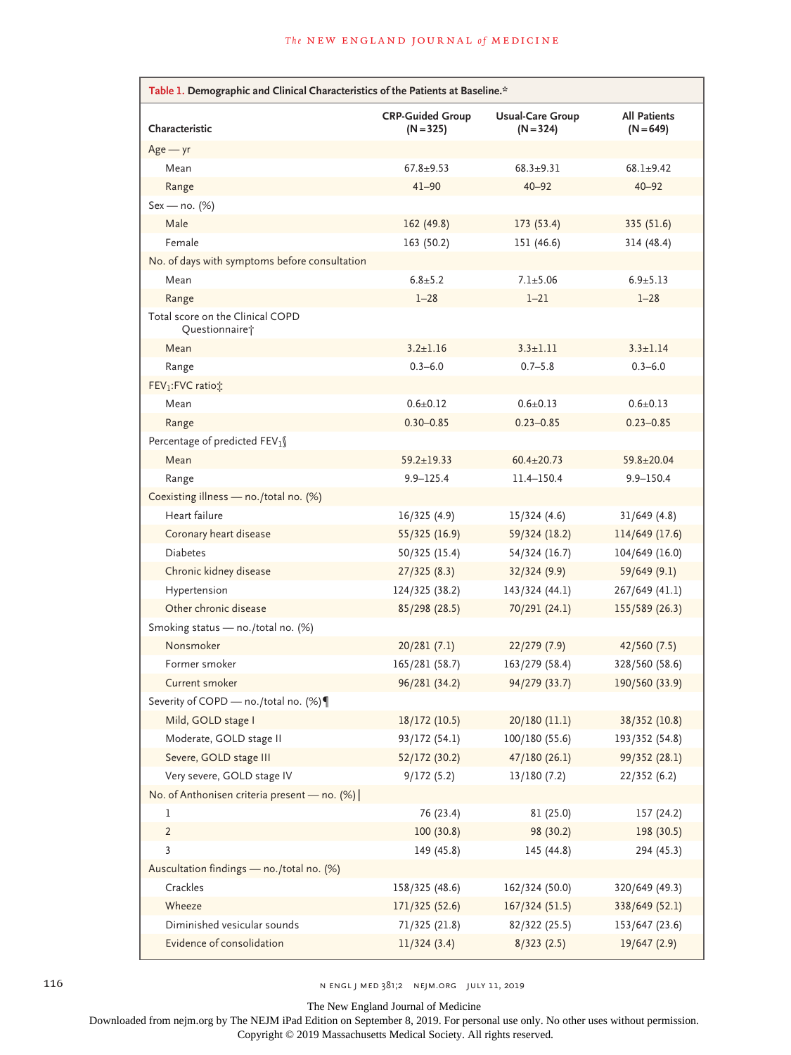| Table 1. Demographic and Clinical Characteristics of the Patients at Baseline.* |                                      |                                        |                                    |  |
|---------------------------------------------------------------------------------|--------------------------------------|----------------------------------------|------------------------------------|--|
| Characteristic                                                                  | <b>CRP-Guided Group</b><br>$(N=325)$ | <b>Usual-Care Group</b><br>$(N = 324)$ | <b>All Patients</b><br>$(N = 649)$ |  |
| $Age - yr$                                                                      |                                      |                                        |                                    |  |
| Mean                                                                            | $67.8 + 9.53$                        | $68.3 + 9.31$                          | $68.1 + 9.42$                      |  |
| Range                                                                           | $41 - 90$                            | $40 - 92$                              | $40 - 92$                          |  |
| $Sex - no. (%)$                                                                 |                                      |                                        |                                    |  |
| Male                                                                            | 162 (49.8)                           | 173(53.4)                              | 335 (51.6)                         |  |
| Female                                                                          | 163 (50.2)                           | 151 (46.6)                             | 314 (48.4)                         |  |
| No. of days with symptoms before consultation                                   |                                      |                                        |                                    |  |
| Mean                                                                            | $6.8 + 5.2$                          | $7.1 + 5.06$                           | $6.9 \pm 5.13$                     |  |
| Range                                                                           | $1 - 28$                             | $1 - 21$                               | $1 - 28$                           |  |
| Total score on the Clinical COPD<br>Questionnaire <sup>+</sup>                  |                                      |                                        |                                    |  |
| Mean                                                                            | $3.2 \pm 1.16$                       | $3.3 \pm 1.11$                         | $3.3 \pm 1.14$                     |  |
| Range                                                                           | $0.3 - 6.0$                          | $0.7 - 5.8$                            | $0.3 - 6.0$                        |  |
| FEV <sub>1</sub> :FVC ratio <sub>*</sub>                                        |                                      |                                        |                                    |  |
| Mean                                                                            | $0.6 \pm 0.12$                       | $0.6 \pm 0.13$                         | $0.6 \pm 0.13$                     |  |
| Range                                                                           | $0.30 - 0.85$                        | $0.23 - 0.85$                          | $0.23 - 0.85$                      |  |
| Percentage of predicted FEV1                                                    |                                      |                                        |                                    |  |
| Mean                                                                            | $59.2 \pm 19.33$                     | $60.4 \pm 20.73$                       | 59.8±20.04                         |  |
| Range                                                                           | $9.9 - 125.4$                        | 11.4-150.4                             | $9.9 - 150.4$                      |  |
| Coexisting illness - no./total no. (%)                                          |                                      |                                        |                                    |  |
| Heart failure                                                                   | 16/325(4.9)                          | 15/324(4.6)                            | 31/649(4.8)                        |  |
| Coronary heart disease                                                          | 55/325 (16.9)                        | 59/324 (18.2)                          | 114/649 (17.6)                     |  |
| <b>Diabetes</b>                                                                 | 50/325 (15.4)                        | 54/324 (16.7)                          | 104/649 (16.0)                     |  |
| Chronic kidney disease                                                          | 27/325(8.3)                          | 32/324(9.9)                            | 59/649(9.1)                        |  |
| Hypertension                                                                    | 124/325 (38.2)                       | 143/324 (44.1)                         | 267/649 (41.1)                     |  |
| Other chronic disease                                                           | 85/298 (28.5)                        | 70/291 (24.1)                          | 155/589 (26.3)                     |  |
| Smoking status - no./total no. (%)                                              |                                      |                                        |                                    |  |
| Nonsmoker                                                                       | 20/281(7.1)                          | 22/279(7.9)                            | 42/560(7.5)                        |  |
| Former smoker                                                                   | 165/281 (58.7)                       | 163/279 (58.4)                         | 328/560 (58.6)                     |  |
| Current smoker                                                                  | 96/281 (34.2)                        | 94/279 (33.7)                          | 190/560 (33.9)                     |  |
| Severity of COPD - no./total no. (%)                                            |                                      |                                        |                                    |  |
| Mild, GOLD stage I                                                              | 18/172 (10.5)                        | 20/180 (11.1)                          | 38/352 (10.8)                      |  |
| Moderate, GOLD stage II                                                         | 93/172 (54.1)                        | 100/180 (55.6)                         | 193/352 (54.8)                     |  |
| Severe, GOLD stage III                                                          | 52/172 (30.2)                        | 47/180 (26.1)                          | 99/352 (28.1)                      |  |
| Very severe, GOLD stage IV                                                      | 9/172(5.2)                           | 13/180(7.2)                            | 22/352(6.2)                        |  |
| No. of Anthonisen criteria present - no. (%)                                    |                                      |                                        |                                    |  |
| 1                                                                               | 76 (23.4)                            | 81 (25.0)                              | 157 (24.2)                         |  |
| $\overline{2}$                                                                  | 100(30.8)                            | 98 (30.2)                              | 198 (30.5)                         |  |
| 3                                                                               | 149 (45.8)                           | 145 (44.8)                             | 294 (45.3)                         |  |
| Auscultation findings - no./total no. (%)                                       |                                      |                                        |                                    |  |
| Crackles                                                                        | 158/325 (48.6)                       | 162/324 (50.0)                         | 320/649 (49.3)                     |  |
| Wheeze                                                                          | 171/325 (52.6)                       | 167/324 (51.5)                         | 338/649 (52.1)                     |  |
| Diminished vesicular sounds                                                     | 71/325 (21.8)                        | 82/322 (25.5)                          | 153/647 (23.6)                     |  |
| Evidence of consolidation                                                       | 11/324(3.4)                          | 8/323(2.5)                             | 19/647(2.9)                        |  |

116 **n** ENGL J MED 381;2 NEJM.ORG JULY 11, 2019

The New England Journal of Medicine

Downloaded from nejm.org by The NEJM iPad Edition on September 8, 2019. For personal use only. No other uses without permission.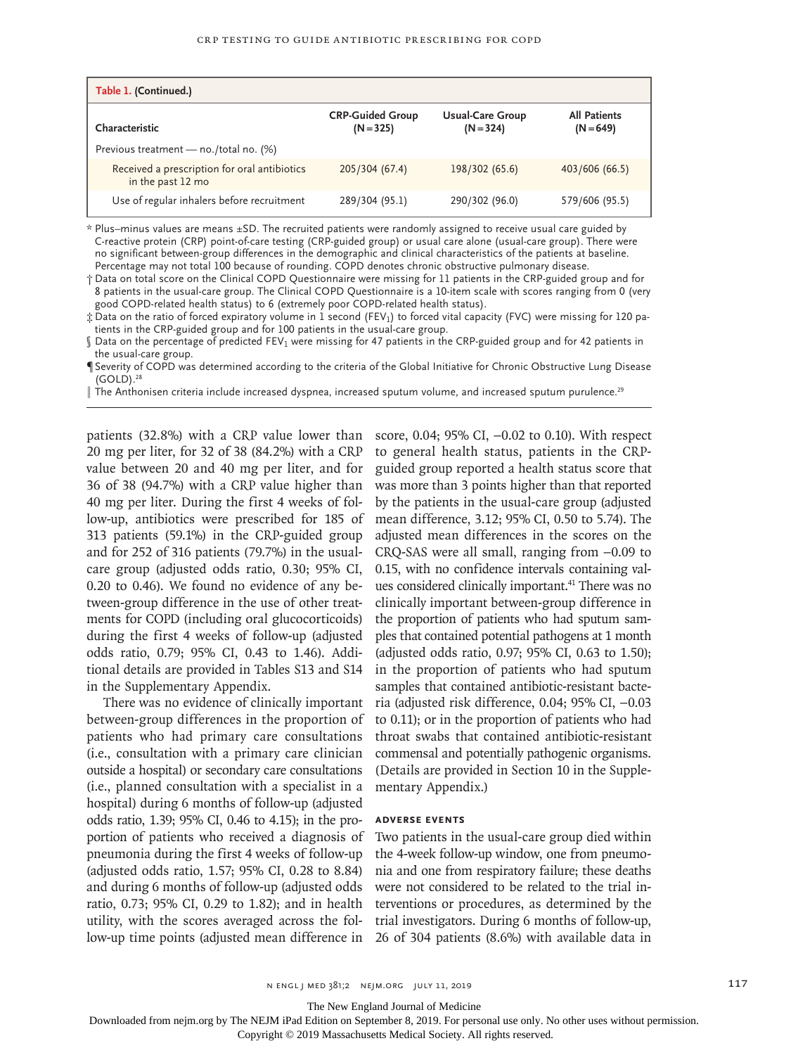| Table 1. (Continued.)                                             |                                        |                                 |                                    |
|-------------------------------------------------------------------|----------------------------------------|---------------------------------|------------------------------------|
| Characteristic                                                    | <b>CRP-Guided Group</b><br>$(N = 325)$ | Usual-Care Group<br>$(N = 324)$ | <b>All Patients</b><br>$(N = 649)$ |
| Previous treatment - no./total no. (%)                            |                                        |                                 |                                    |
| Received a prescription for oral antibiotics<br>in the past 12 mo | 205/304 (67.4)                         | 198/302 (65.6)                  | 403/606 (66.5)                     |
| Use of regular inhalers before recruitment                        | 289/304 (95.1)                         | 290/302 (96.0)                  | 579/606 (95.5)                     |

\* Plus–minus values are means ±SD. The recruited patients were randomly assigned to receive usual care guided by C-reactive protein (CRP) point-of-care testing (CRP-guided group) or usual care alone (usual-care group). There were no significant between-group differences in the demographic and clinical characteristics of the patients at baseline. Percentage may not total 100 because of rounding. COPD denotes chronic obstructive pulmonary disease.

† Data on total score on the Clinical COPD Questionnaire were missing for 11 patients in the CRP-guided group and for 8 patients in the usual-care group. The Clinical COPD Questionnaire is a 10-item scale with scores ranging from 0 (very good COPD-related health status) to 6 (extremely poor COPD-related health status).

‡ Data on the ratio of forced expiratory volume in 1 second (FEV1) to forced vital capacity (FVC) were missing for 120 patients in the CRP-guided group and for 100 patients in the usual-care group.

§ Data on the percentage of predicted FEV1 were missing for 47 patients in the CRP-guided group and for 42 patients in the usual-care group.

¶ Severity of COPD was determined according to the criteria of the Global Initiative for Chronic Obstructive Lung Disease  $(GOLD).<sup>28</sup>$ 

The Anthonisen criteria include increased dyspnea, increased sputum volume, and increased sputum purulence.<sup>29</sup>

patients (32.8%) with a CRP value lower than 20 mg per liter, for 32 of 38 (84.2%) with a CRP value between 20 and 40 mg per liter, and for 36 of 38 (94.7%) with a CRP value higher than 40 mg per liter. During the first 4 weeks of follow-up, antibiotics were prescribed for 185 of 313 patients (59.1%) in the CRP-guided group and for 252 of 316 patients (79.7%) in the usualcare group (adjusted odds ratio, 0.30; 95% CI, 0.20 to 0.46). We found no evidence of any between-group difference in the use of other treatments for COPD (including oral glucocorticoids) during the first 4 weeks of follow-up (adjusted odds ratio, 0.79; 95% CI, 0.43 to 1.46). Additional details are provided in Tables S13 and S14 in the Supplementary Appendix.

There was no evidence of clinically important between-group differences in the proportion of patients who had primary care consultations (i.e., consultation with a primary care clinician outside a hospital) or secondary care consultations (i.e., planned consultation with a specialist in a hospital) during 6 months of follow-up (adjusted odds ratio, 1.39; 95% CI, 0.46 to 4.15); in the proportion of patients who received a diagnosis of pneumonia during the first 4 weeks of follow-up (adjusted odds ratio, 1.57; 95% CI, 0.28 to 8.84) and during 6 months of follow-up (adjusted odds ratio, 0.73; 95% CI, 0.29 to 1.82); and in health utility, with the scores averaged across the follow-up time points (adjusted mean difference in

score, 0.04; 95% CI, −0.02 to 0.10). With respect to general health status, patients in the CRPguided group reported a health status score that was more than 3 points higher than that reported by the patients in the usual-care group (adjusted mean difference, 3.12; 95% CI, 0.50 to 5.74). The adjusted mean differences in the scores on the CRQ-SAS were all small, ranging from −0.09 to 0.15, with no confidence intervals containing values considered clinically important.<sup>41</sup> There was no clinically important between-group difference in the proportion of patients who had sputum samples that contained potential pathogens at 1 month (adjusted odds ratio, 0.97; 95% CI, 0.63 to 1.50); in the proportion of patients who had sputum samples that contained antibiotic-resistant bacteria (adjusted risk difference, 0.04; 95% CI, −0.03 to 0.11); or in the proportion of patients who had throat swabs that contained antibiotic-resistant commensal and potentially pathogenic organisms. (Details are provided in Section 10 in the Supplementary Appendix.)

#### **Adverse Events**

Two patients in the usual-care group died within the 4-week follow-up window, one from pneumonia and one from respiratory failure; these deaths were not considered to be related to the trial interventions or procedures, as determined by the trial investigators. During 6 months of follow-up, 26 of 304 patients (8.6%) with available data in

The New England Journal of Medicine

Downloaded from nejm.org by The NEJM iPad Edition on September 8, 2019. For personal use only. No other uses without permission.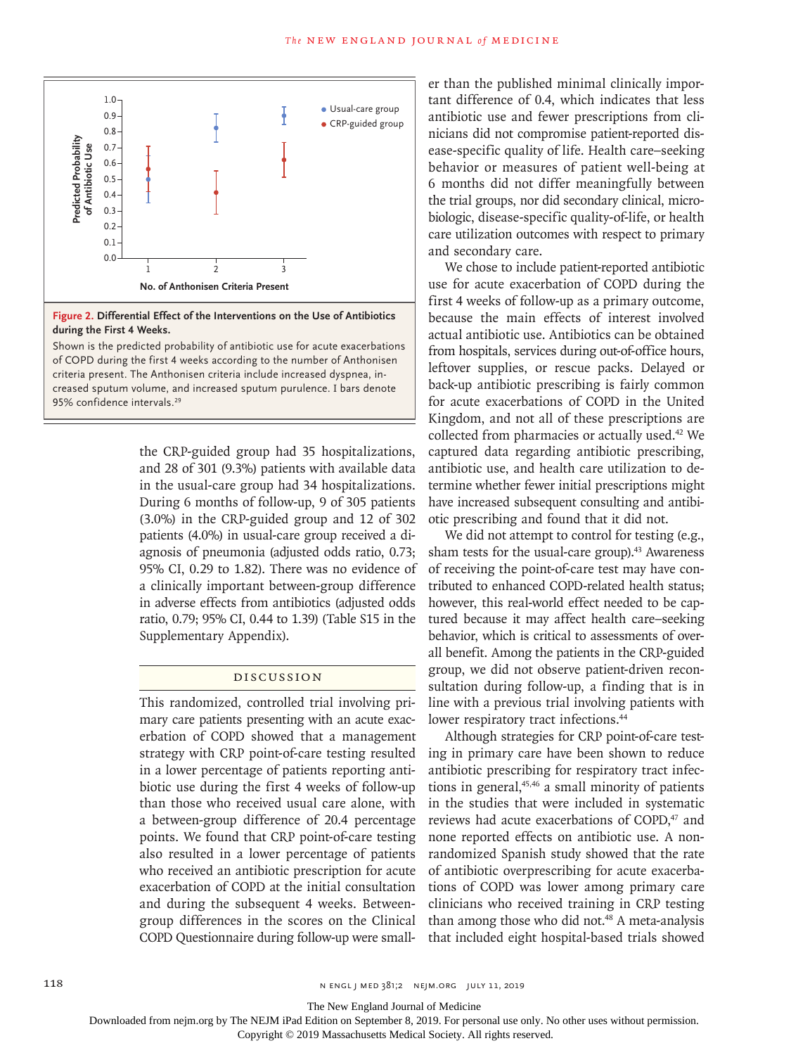

**Figure 2. Differential Effect of the Interventions on the Use of Antibiotics during the First 4 Weeks.**

Shown is the predicted probability of antibiotic use for acute exacerbations of COPD during the first 4 weeks according to the number of Anthonisen criteria present. The Anthonisen criteria include increased dyspnea, increased sputum volume, and increased sputum purulence. I bars denote<br>95% confidence intervals.<sup>29</sup>

> the CRP-guided group had 35 hospitalizations, and 28 of 301 (9.3%) patients with available data in the usual-care group had 34 hospitalizations. During 6 months of follow-up, 9 of 305 patients (3.0%) in the CRP-guided group and 12 of 302 patients (4.0%) in usual-care group received a diagnosis of pneumonia (adjusted odds ratio, 0.73; 95% CI, 0.29 to 1.82). There was no evidence of a clinically important between-group difference in adverse effects from antibiotics (adjusted odds ratio, 0.79; 95% CI, 0.44 to 1.39) (Table S15 in the Supplementary Appendix).

### Discussion

This randomized, controlled trial involving primary care patients presenting with an acute exacerbation of COPD showed that a management strategy with CRP point-of-care testing resulted in a lower percentage of patients reporting antibiotic use during the first 4 weeks of follow-up than those who received usual care alone, with a between-group difference of 20.4 percentage points. We found that CRP point-of-care testing also resulted in a lower percentage of patients who received an antibiotic prescription for acute exacerbation of COPD at the initial consultation and during the subsequent 4 weeks. Betweengroup differences in the scores on the Clinical COPD Questionnaire during follow-up were smaller than the published minimal clinically important difference of 0.4, which indicates that less antibiotic use and fewer prescriptions from clinicians did not compromise patient-reported disease-specific quality of life. Health care–seeking behavior or measures of patient well-being at 6 months did not differ meaningfully between the trial groups, nor did secondary clinical, microbiologic, disease-specific quality-of-life, or health care utilization outcomes with respect to primary and secondary care.

We chose to include patient-reported antibiotic use for acute exacerbation of COPD during the first 4 weeks of follow-up as a primary outcome, because the main effects of interest involved actual antibiotic use. Antibiotics can be obtained from hospitals, services during out-of-office hours, leftover supplies, or rescue packs. Delayed or back-up antibiotic prescribing is fairly common for acute exacerbations of COPD in the United Kingdom, and not all of these prescriptions are collected from pharmacies or actually used.42 We captured data regarding antibiotic prescribing, antibiotic use, and health care utilization to determine whether fewer initial prescriptions might have increased subsequent consulting and antibiotic prescribing and found that it did not.

We did not attempt to control for testing (e.g., sham tests for the usual-care group). $43$  Awareness of receiving the point-of-care test may have contributed to enhanced COPD-related health status; however, this real-world effect needed to be captured because it may affect health care–seeking behavior, which is critical to assessments of overall benefit. Among the patients in the CRP-guided group, we did not observe patient-driven reconsultation during follow-up, a finding that is in line with a previous trial involving patients with lower respiratory tract infections.<sup>44</sup>

Although strategies for CRP point-of-care testing in primary care have been shown to reduce antibiotic prescribing for respiratory tract infections in general, $45,46$  a small minority of patients in the studies that were included in systematic reviews had acute exacerbations of COPD,<sup>47</sup> and none reported effects on antibiotic use. A nonrandomized Spanish study showed that the rate of antibiotic overprescribing for acute exacerbations of COPD was lower among primary care clinicians who received training in CRP testing than among those who did not.<sup>48</sup> A meta-analysis that included eight hospital-based trials showed

The New England Journal of Medicine

Downloaded from nejm.org by The NEJM iPad Edition on September 8, 2019. For personal use only. No other uses without permission.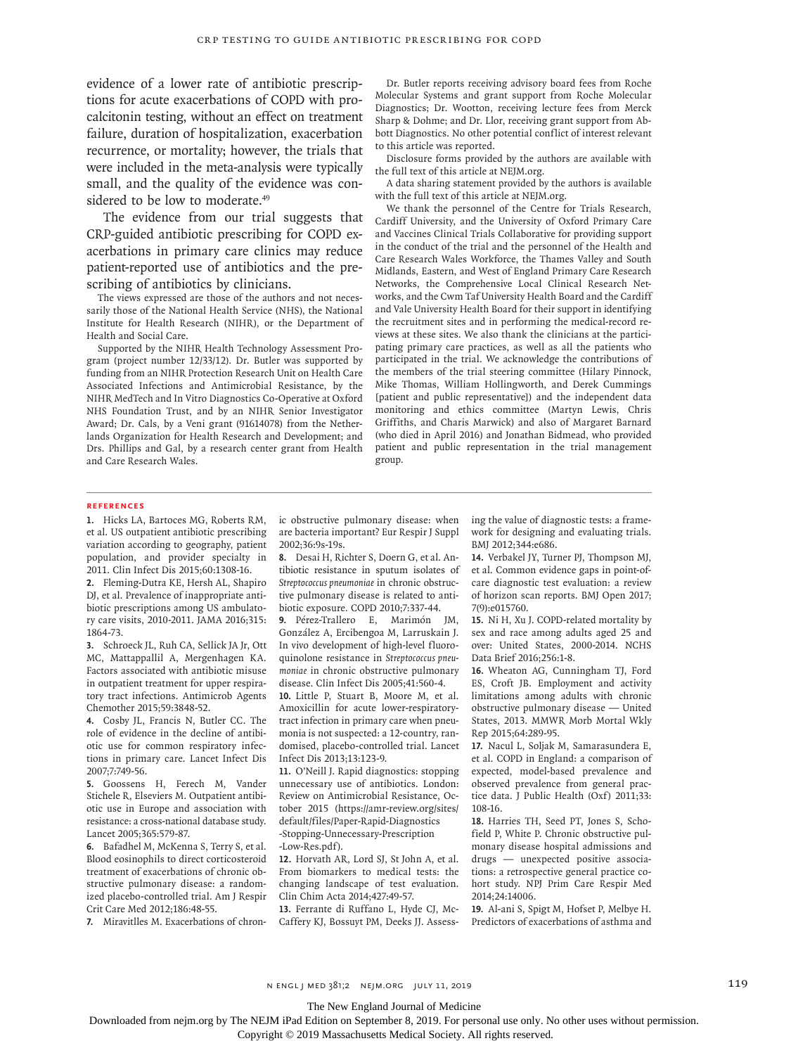evidence of a lower rate of antibiotic prescriptions for acute exacerbations of COPD with procalcitonin testing, without an effect on treatment failure, duration of hospitalization, exacerbation recurrence, or mortality; however, the trials that were included in the meta-analysis were typically small, and the quality of the evidence was considered to be low to moderate.<sup>49</sup>

The evidence from our trial suggests that CRP-guided antibiotic prescribing for COPD exacerbations in primary care clinics may reduce patient-reported use of antibiotics and the prescribing of antibiotics by clinicians.

The views expressed are those of the authors and not necessarily those of the National Health Service (NHS), the National Institute for Health Research (NIHR), or the Department of Health and Social Care.

Supported by the NIHR Health Technology Assessment Program (project number 12/33/12). Dr. Butler was supported by funding from an NIHR Protection Research Unit on Health Care Associated Infections and Antimicrobial Resistance, by the NIHR MedTech and In Vitro Diagnostics Co-Operative at Oxford NHS Foundation Trust, and by an NIHR Senior Investigator Award; Dr. Cals, by a Veni grant (91614078) from the Netherlands Organization for Health Research and Development; and Drs. Phillips and Gal, by a research center grant from Health and Care Research Wales.

Dr. Butler reports receiving advisory board fees from Roche Molecular Systems and grant support from Roche Molecular Diagnostics; Dr. Wootton, receiving lecture fees from Merck Sharp & Dohme; and Dr. Llor, receiving grant support from Abbott Diagnostics. No other potential conflict of interest relevant to this article was reported.

Disclosure forms provided by the authors are available with the full text of this article at NEJM.org.

A data sharing statement provided by the authors is available with the full text of this article at NEJM.org.

We thank the personnel of the Centre for Trials Research, Cardiff University, and the University of Oxford Primary Care and Vaccines Clinical Trials Collaborative for providing support in the conduct of the trial and the personnel of the Health and Care Research Wales Workforce, the Thames Valley and South Midlands, Eastern, and West of England Primary Care Research Networks, the Comprehensive Local Clinical Research Networks, and the Cwm Taf University Health Board and the Cardiff and Vale University Health Board for their support in identifying the recruitment sites and in performing the medical-record reviews at these sites. We also thank the clinicians at the participating primary care practices, as well as all the patients who participated in the trial. We acknowledge the contributions of the members of the trial steering committee (Hilary Pinnock, Mike Thomas, William Hollingworth, and Derek Cummings [patient and public representative]) and the independent data monitoring and ethics committee (Martyn Lewis, Chris Griffiths, and Charis Marwick) and also of Margaret Barnard (who died in April 2016) and Jonathan Bidmead, who provided patient and public representation in the trial management group.

#### **References**

**1.** Hicks LA, Bartoces MG, Roberts RM, et al. US outpatient antibiotic prescribing variation according to geography, patient population, and provider specialty in 2011. Clin Infect Dis 2015;60:1308-16.

**2.** Fleming-Dutra KE, Hersh AL, Shapiro DJ, et al. Prevalence of inappropriate antibiotic prescriptions among US ambulatory care visits, 2010-2011. JAMA 2016;315: 1864-73.

**3.** Schroeck JL, Ruh CA, Sellick JA Jr, Ott MC, Mattappallil A, Mergenhagen KA. Factors associated with antibiotic misuse in outpatient treatment for upper respiratory tract infections. Antimicrob Agents Chemother 2015;59:3848-52.

**4.** Cosby JL, Francis N, Butler CC. The role of evidence in the decline of antibiotic use for common respiratory infections in primary care. Lancet Infect Dis 2007;7:749-56.

**5.** Goossens H, Ferech M, Vander Stichele R, Elseviers M. Outpatient antibiotic use in Europe and association with resistance: a cross-national database study. Lancet 2005;365:579-87.

**6.** Bafadhel M, McKenna S, Terry S, et al. Blood eosinophils to direct corticosteroid treatment of exacerbations of chronic obstructive pulmonary disease: a randomized placebo-controlled trial. Am J Respir Crit Care Med 2012;186:48-55.

**7.** Miravitlles M. Exacerbations of chron-

ic obstructive pulmonary disease: when are bacteria important? Eur Respir J Suppl 2002;36:9s-19s.

**8.** Desai H, Richter S, Doern G, et al. Antibiotic resistance in sputum isolates of *Streptococcus pneumoniae* in chronic obstructive pulmonary disease is related to antibiotic exposure. COPD 2010;7:337-44.

**9.** Pérez-Trallero E, Marimón JM, González A, Ercibengoa M, Larruskain J. In vivo development of high-level fluoroquinolone resistance in *Streptococcus pneumoniae* in chronic obstructive pulmonary disease. Clin Infect Dis 2005;41:560-4.

**10.** Little P, Stuart B, Moore M, et al. Amoxicillin for acute lower-respiratorytract infection in primary care when pneumonia is not suspected: a 12-country, randomised, placebo-controlled trial. Lancet Infect Dis 2013;13:123-9.

**11.** O'Neill J. Rapid diagnostics: stopping unnecessary use of antibiotics. London: Review on Antimicrobial Resistance, October 2015 (https://amr-review.org/sites/ default/files/Paper-Rapid-Diagnostics -Stopping-Unnecessary-Prescription

-Low-Res.pdf).

**12.** Horvath AR, Lord SJ, St John A, et al. From biomarkers to medical tests: the changing landscape of test evaluation. Clin Chim Acta 2014;427:49-57.

**13.** Ferrante di Ruffano L, Hyde CJ, Mc-Caffery KJ, Bossuyt PM, Deeks JJ. Assessing the value of diagnostic tests: a framework for designing and evaluating trials. BMJ 2012;344:e686.

**14.** Verbakel JY, Turner PJ, Thompson MJ, et al. Common evidence gaps in point-ofcare diagnostic test evaluation: a review of horizon scan reports. BMJ Open 2017; 7(9):e015760.

**15.** Ni H, Xu J. COPD-related mortality by sex and race among adults aged 25 and over: United States, 2000-2014. NCHS Data Brief 2016;256:1-8.

**16.** Wheaton AG, Cunningham TJ, Ford ES, Croft JB. Employment and activity limitations among adults with chronic obstructive pulmonary disease — United States, 2013. MMWR Morb Mortal Wkly Rep 2015;64:289-95.

**17.** Nacul L, Soljak M, Samarasundera E, et al. COPD in England: a comparison of expected, model-based prevalence and observed prevalence from general practice data. J Public Health (Oxf) 2011;33: 108-16.

**18.** Harries TH, Seed PT, Jones S, Schofield P, White P. Chronic obstructive pulmonary disease hospital admissions and drugs — unexpected positive associations: a retrospective general practice cohort study. NPJ Prim Care Respir Med 2014;24:14006.

**19.** Al-ani S, Spigt M, Hofset P, Melbye H. Predictors of exacerbations of asthma and

n ENGL | MED 381;2 NEJM.ORG JULY 11, 2019 119

The New England Journal of Medicine

Downloaded from nejm.org by The NEJM iPad Edition on September 8, 2019. For personal use only. No other uses without permission.